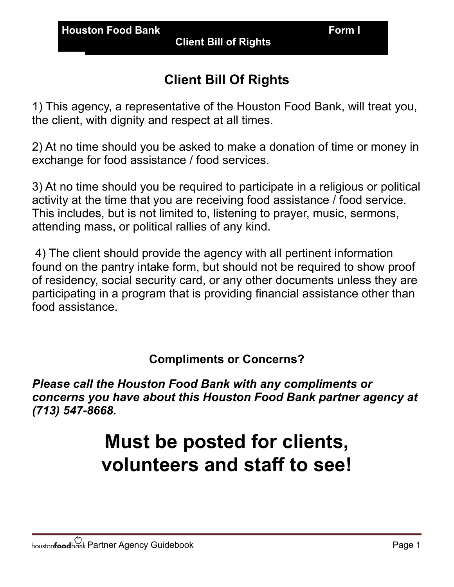**Client Bill of Rights** 

## **Client Bill Of Rights**

1) This agency, a representative of the Houston Food Bank, will treat you, the client, with dignity and respect at all times.

2) At no time should you be asked to make a donation of time or money in exchange for food assistance / food services.

3) At no time should you be required to participate in a religious or political activity at the time that you are receiving food assistance / food service. This includes, but is not limited to, listening to prayer, music, sermons, attending mass, or political rallies of any kind.

 4) The client should provide the agency with all pertinent information found on the pantry intake form, but should not be required to show proof of residency, social security card, or any other documents unless they are participating in a program that is providing financial assistance other than food assistance.

## **Compliments or Concerns?**

*Please call the Houston Food Bank with any compliments or concerns you have about this Houston Food Bank partner agency at (713) 547-8668.* 

## **Must be posted for clients, volunteers and staff to see!**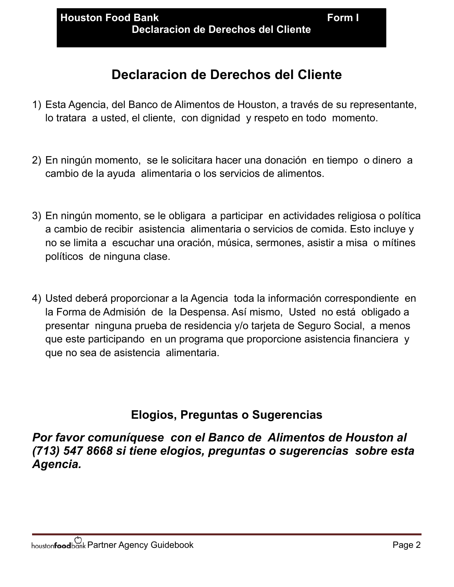- 1) Esta Agencia, del Banco de Alimentos de Houston, a través de su representante, lo tratara a usted, el cliente, con dignidad y respeto en todo momento.
- 2) En ningún momento, se le solicitara hacer una donación en tiempo o dinero a cambio de la ayuda alimentaria o los servicios de alimentos.
- 3) En ningún momento, se le obligara a participar en actividades religiosa o política a cambio de recibir asistencia alimentaria o servicios de comida. Esto incluye y no se limita a escuchar una oración, música, sermones, asistir a misa o mítines políticos de ninguna clase.
- 4) Usted deberá proporcionar a la Agencia toda la información correspondiente en la Forma de Admisión de la Despensa. Así mismo, Usted no está obligado a presentar ninguna prueba de residencia y/o tarjeta de Seguro Social, a menos que este participando en un programa que proporcione asistencia financiera y que no sea de asistencia alimentaria.

## **Elogios, Preguntas o Sugerencias**

*Por favor comuníquese con el Banco de Alimentos de Houston al (713) 547 8668 si tiene elogios, preguntas o sugerencias sobre esta Agencia.*